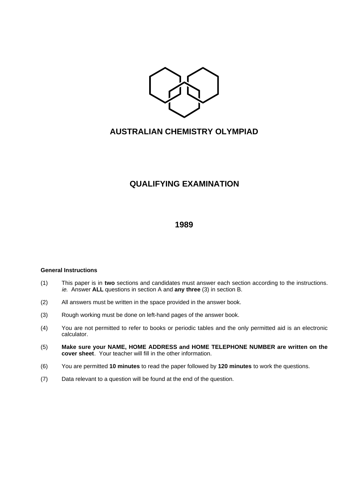

# **AUSTRALIAN CHEMISTRY OLYMPIAD**

# **QUALIFYING EXAMINATION**

## **1989**

### **General Instructions**

- (1) This paper is in **two** sections and candidates must answer each section according to the instructions. ie. Answer **ALL** questions in section A and **any three** (3) in section B.
- (2) All answers must be written in the space provided in the answer book.
- (3) Rough working must be done on left-hand pages of the answer book.
- (4) You are not permitted to refer to books or periodic tables and the only permitted aid is an electronic calculator.
- (5) **Make sure your NAME, HOME ADDRESS and HOME TELEPHONE NUMBER are written on the cover sheet**. Your teacher will fill in the other information.
- (6) You are permitted **10 minutes** to read the paper followed by **120 minutes** to work the questions.
- (7) Data relevant to a question will be found at the end of the question.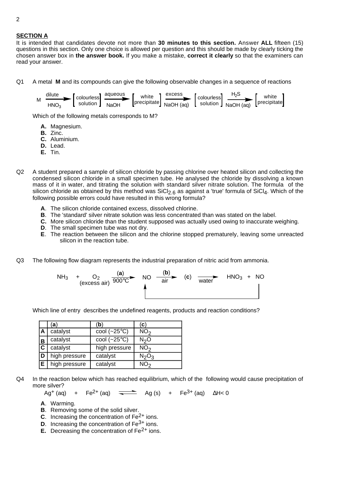### **SECTION A**

It is intended that candidates devote not more than **30 minutes to this section.** Answer **ALL** fifteen (15) questions in this section. Only one choice is allowed per question and this should be made by clearly ticking the chosen answer box in **the answer book.** If you make a mistake, **correct it clearly** so that the examiners can read your answer.

Q1 A metal **M** and its compounds can give the following observable changes in a sequence of reactions

| м | dilute | colourless | aqueous | white | excess                                       | $\mathsf{r}_{\mathsf{colourless}}$ | ዛაა | white               |
|---|--------|------------|---------|-------|----------------------------------------------|------------------------------------|-----|---------------------|
|   | HNO3   | solution 1 | NaOH    |       | precipitate NaOH (aq) Solution NaOH (aq) IP" |                                    |     | $[$ precipitate $]$ |

Which of the following metals corresponds to M?

- **A.** Magnesium.
- **B.** Zinc.
- **C.** Aluminium.
- **D.** Lead.
- **E.** Tin.
- Q2 A student prepared a sample of silicon chloride by passing chlorine over heated silicon and collecting the condensed silicon chloride in a small specimen tube. He analysed the chloride by dissolving a known mass of it in water, and titrating the solution with standard silver nitrate solution. The formula of the silicon chloride as obtained by this method was  $SiCl<sub>2.6</sub>$  as against a 'true' formula of  $SiCl<sub>4</sub>$ . Which of the following possible errors could have resulted in this wrong formula?
	- **A**. The silicon chloride contained excess, dissolved chlorine.
	- **B**. The 'standard' silver nitrate solution was less concentrated than was stated on the label.
	- **C.** More silicon chloride than the student supposed was actually used owing to inaccurate weighing.
	- **D**. The small specimen tube was not dry.
	- **E**. The reaction between the silicon and the chlorine stopped prematurely, leaving some unreacted silicon in the reaction tube.
- Q3 The following flow diagram represents the industrial preparation of nitric acid from ammonia.



Which line of entry describes the undefined reagents, products and reaction conditions?

|   | a)            | (b                    | (C)                           |
|---|---------------|-----------------------|-------------------------------|
| Α | catalyst      | cool $(-25^{\circ}C)$ | NO <sub>2</sub>               |
| B | catalyst      | cool $(-25^{\circ}C)$ | N <sub>2</sub> O              |
| C | catalyst      | high pressure         | NO <sub>2</sub>               |
| D | high pressure | catalyst              | N <sub>2</sub> O <sub>3</sub> |
| Е | high pressure | catalyst              | NO <sub>2</sub>               |

Q4 In the reaction below which has reached equilibrium, which of the following would cause precipitation of more silver?

Ag<sup>+</sup> (aq) + Fe<sup>2+</sup> (aq)  $\overline{\phantom{a}}$  Ag (s) + Fe<sup>3+</sup> (aq)  $\Delta H < 0$ 

- **A**. Warming.
- **B**. Removing some of the solid silver.
- **C**. Increasing the concentration of Fe2+ ions.
- **D.** Increasing the concentration of Fe<sup>3+</sup> ions.
- **E.** Decreasing the concentration of Fe<sup>2+</sup> ions.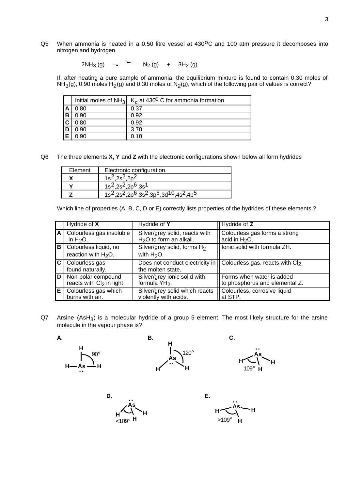Q5 When ammonia is heated in a 0.50 litre vessel at 430<sup>o</sup>C and 100 atm pressure it decomposes into nitrogen and hydrogen.

 $2NH_3(g)$   $\longrightarrow$   $N_2(g)$  +  $3H_2(g)$ 

If, after heating a pure sample of ammonia, the equilibrium mixture is found to contain 0.30 moles of  $NH<sub>3</sub>(g)$ , 0.90 moles H<sub>2</sub>(g) and 0.30 moles of N<sub>2</sub>(g), which of the following pair of values is correct?

|   |      | Initial moles of $NH_3$ K <sub>c</sub> at 430 <sup>o</sup> C for ammonia formation |
|---|------|------------------------------------------------------------------------------------|
|   | 0.80 | 0.37                                                                               |
| B | 0.90 | 0.92                                                                               |
|   | 0.80 | 0.92                                                                               |
|   | 0.90 | 3.70                                                                               |
|   | ) 90 | በ 1በ                                                                               |

Q6 The three elements **X, Y** and **Z** with the electronic configurations shown below all form hydrides

| Element | Electronic configuration.                                                                                                               |
|---------|-----------------------------------------------------------------------------------------------------------------------------------------|
|         | $1s^2.2s^2.2p^2$                                                                                                                        |
|         | $1s^2, 2s^2, 2p^6, 3s^1$                                                                                                                |
|         | 1s <sup>2</sup> ,2s <sup>2</sup> ,2p <sup>6</sup> ,3s <sup>2</sup> ,3p <sup>6</sup> ,3d <sup>10</sup> ,4s <sup>2</sup> ,4p <sup>5</sup> |

Which line of properties (A, B, C, D or E) correctly lists properties of the hydrides of these elements ?

|   | Hydride of X                                    | Hydride of Y                                    | Hydride of Z                                                                              |
|---|-------------------------------------------------|-------------------------------------------------|-------------------------------------------------------------------------------------------|
| A | Colourless gas insoluble                        | Silver/grey solid, reacts with                  | Colourless gas forms a strong                                                             |
|   | in $H2O$ .                                      | H <sub>2</sub> O to form an alkali.             | acid in H <sub>2</sub> O.                                                                 |
| в | Colourless liquid, no<br>reaction with $H_2O$ . | Silver/grey solid, forms $H_2$<br>with $H_2O$ . | Ionic solid with formula ZH.                                                              |
| C | Colourless gas<br>found naturally.              | the molten state.                               | Does not conduct electricity in $\vert\vert$ Colourless gas, reacts with Cl <sub>2.</sub> |
| D | Non-polar compound                              | Silver/grey ionic solid with                    | Il Forms when water is added                                                              |
|   | reacts with Cl <sub>2</sub> in light            | formula YH <sub>2</sub> .                       | to phosphorus and elemental Z.                                                            |
| Е | Colourless gas which                            | Silver/grey solid which reacts                  | Colourless, corrosive liquid                                                              |
|   | burns with air.                                 | violently with acids.                           | at STP.                                                                                   |

 $Q7$  Arsine (AsH<sub>3</sub>) is a molecular hydride of a group 5 element. The most likely structure for the arsine molecule in the vapour phase is?



Н— As — Н **H ..** 90°



120° **As H H H ..** 109°

**D. E. As H H H ..**

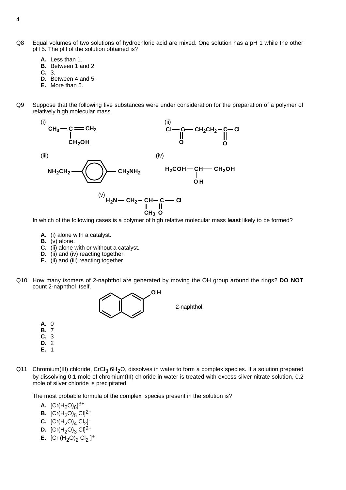- Q8 Equal volumes of two solutions of hydrochloric acid are mixed. One solution has a pH 1 while the other pH 5. The pH of the solution obtained is?
	- **A.** Less than 1.
	- **B.** Between 1 and 2.
	- **C.** 3.
	- **D.** Between 4 and 5.
	- **E.** More than 5.
- Q9 Suppose that the following five substances were under consideration for the preparation of a polymer of relatively high molecular mass.



In which of the following cases is a polymer of high relative molecular mass **least** likely to be formed?

- **A.** (i) alone with a catalyst.
- **B.** (v) alone.
- **C.** (ii) alone with or without a catalyst.
- **D.** (ii) and (iv) reacting together.
- **E.** (ii) and (iii) reacting together.
- Q10 How many isomers of 2-naphthol are generated by moving the OH group around the rings? **DO NOT** count 2-naphthol itself.



- **A.** 0
- **B.** 7 **C.** 3
- **D.** 2
- **E.** 1
- Q11 Chromium(III) chloride, CrCl<sub>3</sub>.6H<sub>2</sub>O, dissolves in water to form a complex species. If a solution prepared by dissolving 0.1 mole of chromium(III) chloride in water is treated with excess silver nitrate solution, 0.2 mole of silver chloride is precipitated.

The most probable formula of the complex species present in the solution is?

- **A.**  $[Cr(H_2O)_6]^{3+}$
- **B.**  $[Cr(H<sub>2</sub>O)<sub>5</sub> Cl]<sup>2+</sup>$
- **C.**  $[Cr(H<sub>2</sub>O)<sub>4</sub> Cl<sub>2</sub>]$ <sup>+</sup>
- **D.**  $[Cr(H<sub>2</sub>O)<sub>3</sub> Cl]<sup>2+</sup>$
- **E.**  $[Cr (H<sub>2</sub>O)<sub>2</sub> Cl<sub>2</sub>]$ <sup>+</sup>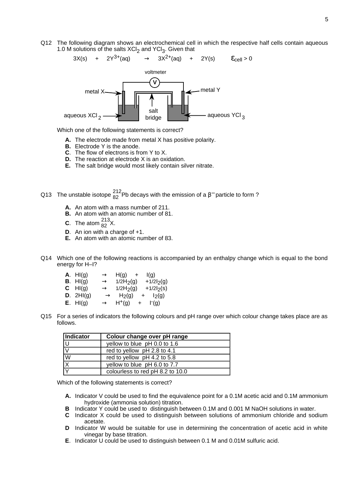Q12 The following diagram shows an electrochemical cell in which the respective half cells contain aqueous 1.0 M solutions of the salts  $XCl<sub>2</sub>$  and  $YCl<sub>3</sub>$ . Given that



Which one of the following statements is correct?

- **A.** The electrode made from metal X has positive polarity.
- **B.** Electrode Y is the anode.
- **C**. The flow of electrons is from Y to X.
- **D.** The reaction at electrode X is an oxidation.
- **E.** The salt bridge would most likely contain silver nitrate.
- Q13 The unstable isotope  $\frac{212}{82}$ Pb decays with the emission of a β<sup>-</sup> particle to form ?
	- **A.** An atom with a mass number of 211.
	- **B.** An atom with an atomic number of 81.
	- **C**. The atom  $^{213}_{82}$ X.
	- **D**. An ion with a charge of +1.
	- **E.** An atom with an atomic number of 83.
- Q14 Which one of the following reactions is accompanied by an enthalpy change which is equal to the bond energy for H–I?
	- **A**. HI(g)  $\longrightarrow$  H(g) + I(g) **B**. HI(g)  $\longrightarrow$  1/2H<sub>2</sub>(g) +1/2I<sub>2</sub>(g) **C** HI(g)  $\longrightarrow$  1/2H<sub>2</sub>(g) +1/2l<sub>2</sub>(s) **D**. 2HI(g)  $\longrightarrow$  H<sub>2</sub>(g) + I<sub>2</sub>(g) **E**. HI(g)  $\longrightarrow$  H<sup>+</sup>(g)  $\Gamma(q)$
- Q15 For a series of indicators the following colours and pH range over which colour change takes place are as follows.

| Indicator | Colour change over pH range      |
|-----------|----------------------------------|
|           | yellow to blue pH 0.0 to 1.6     |
| IV.       | red to yellow pH 2.8 to 4.1      |
| W         | red to yellow pH 4.2 to 5.8      |
| ΙX        | yellow to blue pH 6.0 to 7.7     |
|           | colourless to red pH 8.2 to 10.0 |

Which of the following statements is correct?

- **A.** Indicator V could be used to find the equivalence point for a 0.1M acetic acid and 0.1M ammonium hydroxide (ammonia solution) titration.
- **B** Indicator Y could be used to distinguish between 0.1M and 0.001 M NaOH solutions in water.
- **C** Indicator X could be used to distinguish between solutions of ammonium chloride and sodium acetate.
- **D** Indicator W would be suitable for use in determining the concentration of acetic acid in white vinegar by base titration.
- **E**. Indicator U could be used to distinguish between 0.1 M and 0.01M sulfuric acid.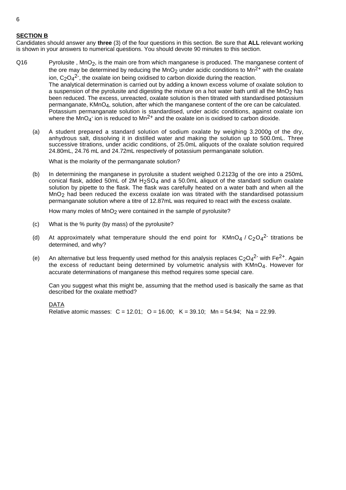### **SECTION B**

Candidates should answer any **three** (3) of the four questions in this section. Be sure that **ALL** relevant working is shown in your answers to numerical questions. You should devote 90 minutes to this section.

Q16 Pyrolusite, MnO<sub>2</sub>, is the main ore from which manganese is produced. The manganese content of the ore may be determined by reducing the MnO<sub>2</sub> under acidic conditions to Mn<sup>2+</sup> with the oxalate ion,  $C_2O_4^2$ <sup>-</sup>, the oxalate ion being oxidised to carbon dioxide during the reaction. The analytical determination is carried out by adding a known excess volume of oxalate solution to a suspension of the pyrolusite and digesting the mixture on a hot water bath until all the MnO<sub>2</sub> has been reduced. The excess, unreacted, oxalate solution is then titrated with standardised potassium permanganate, KMnO4, solution, after which the manganese content of the ore can be calculated. Potassium permanganate solution is standardised, under acidic conditions, against oxalate ion where the  $MnO_4$ <sup>-</sup> ion is reduced to  $Mn^{2+}$  and the oxalate ion is oxidised to carbon dioxide.

(a) A student prepared a standard solution of sodium oxalate by weighing 3.2000g of the dry, anhydrous salt, dissolving it in distilled water and making the solution up to 500.0mL. Three successive titrations, under acidic conditions, of 25.0mL aliquots of the oxalate solution required 24.80mL, 24.76 mL and 24.72mL respectively of potassium permanganate solution.

What is the molarity of the permanganate solution?

(b) In determining the manganese in pyrolusite a student weighed 0.2123g of the ore into a 250mL conical flask, added 50mL of 2M  $H_2SO_4$  and a 50.0mL aliquot of the standard sodium oxalate solution by pipette to the flask. The flask was carefully heated on a water bath and when all the MnO<sub>2</sub> had been reduced the excess oxalate ion was titrated with the standardised potassium permanganate solution where a titre of 12.87mL was required to react with the excess oxalate.

How many moles of  $MnO<sub>2</sub>$  were contained in the sample of pyrolusite?

- (c) What is the % purity (by mass) of the pyrolusite?
- (d) At approximately what temperature should the end point for KMnO<sub>4</sub> / C<sub>2</sub>O<sub>4</sub><sup>2-</sup> titrations be determined, and why?
- (e) An alternative but less frequently used method for this analysis replaces  $C_2O_4^2$  with Fe<sup>2+</sup>. Again the excess of reductant being determined by volumetric analysis with  $KMD<sub>4</sub>$ . However for accurate determinations of manganese this method requires some special care.

Can you suggest what this might be, assuming that the method used is basically the same as that described for the oxalate method?

#### DATA

Relative atomic masses:  $C = 12.01$ ;  $O = 16.00$ ;  $K = 39.10$ ;  $Mn = 54.94$ ; Na = 22.99.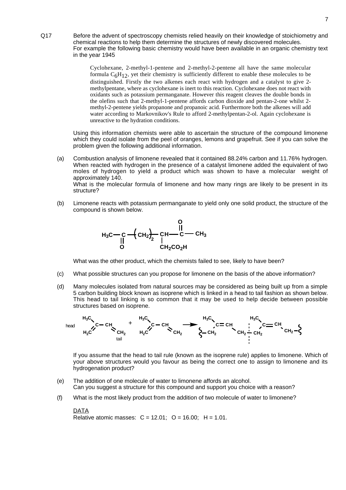Q17 Before the advent of spectroscopy chemists relied heavily on their knowledge of stoichiometry and chemical reactions to help them determine the structures of newly discovered molecules. For example the following basic chemistry would have been available in an organic chemistry text in the year 1945

> Cyclohexane, 2-methyl-1-pentene and 2-methyl-2-pentene all have the same molecular formula  $C_6H_{12}$ , yet their chemistry is sufficiently different to enable these molecules to be distinguished. Firstly the two alkenes each react with hydrogen and a catalyst to give 2 methylpentane, where as cyclohexane is inert to this reaction. Cyclohexane does not react with oxidants such as potassium permanganate. However this reagent cleaves the double bonds in the olefins such that 2-methyl-1-pentene affords carbon dioxide and pentan-2-one whilst 2 methyl-2-pentene yields propanone and propanoic acid. Furthermore both the alkenes will add water according to Markovnikov's Rule to afford 2-methylpentan-2-ol. Again cyclohexane is unreactive to the hydration conditions.

Using this information chemists were able to ascertain the structure of the compound limonene which they could isolate from the peel of oranges, lemons and grapefruit. See if you can solve the problem given the following additional information.

(a) Combustion analysis of limonene revealed that it contained 88.24% carbon and 11.76% hydrogen. When reacted with hydrogen in the presence of a catalyst limonene added the equivalent of two moles of hydrogen to yield a product which was shown to have a molecular weight of approximately 140. What is the molecular formula of limonene and how many rings are likely to be present in its

structure?

(b) Limonene reacts with potassium permanganate to yield only one solid product, the structure of the compound is shown below.



What was the other product, which the chemists failed to see, likely to have been?

- (c) What possible structures can you propose for limonene on the basis of the above information?
- (d) Many molecules isolated from natural sources may be considered as being built up from a simple 5 carbon building block known as isoprene which is linked in a head to tail fashion as shown below. This head to tail linking is so common that it may be used to help decide between possible structures based on isoprene.



If you assume that the head to tail rule (known as the isoprene rule) applies to limonene. Which of your above structures would you favour as being the correct one to assign to limonene and its hydrogenation product?

- (e) The addition of one molecule of water to limonene affords an alcohol. Can you suggest a structure for this compound and support you choice with a reason?
- (f) What is the most likely product from the addition of two molecule of water to limonene?

#### **DATA** Relative atomic masses:  $C = 12.01$ ;  $O = 16.00$ ;  $H = 1.01$ .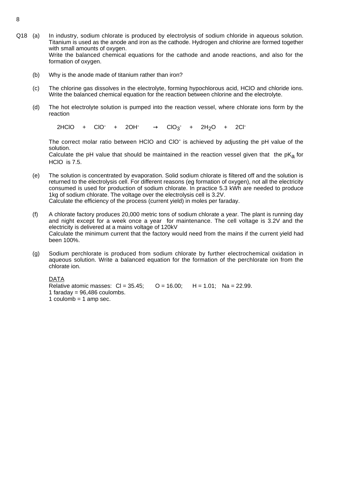- Q18 (a) In industry, sodium chlorate is produced by electrolysis of sodium chloride in aqueous solution. Titanium is used as the anode and iron as the cathode. Hydrogen and chlorine are formed together with small amounts of oxygen. Write the balanced chemical equations for the cathode and anode reactions, and also for the formation of oxygen.
	- (b) Why is the anode made of titanium rather than iron?
	- (c) The chlorine gas dissolves in the electrolyte, forming hypochlorous acid, HClO and chloride ions. Write the balanced chemical equation for the reaction between chlorine and the electrolyte.
	- (d) The hot electrolyte solution is pumped into the reaction vessel, where chlorate ions form by the reaction

 $2HClO + ClO^-$  +  $\longrightarrow$  CIO<sub>3</sub><sup>-</sup> + 2H<sub>2</sub>O + 2Cl<sup>-</sup>

The correct molar ratio between HClO and ClO- is achieved by adjusting the pH value of the solution.

Calculate the pH value that should be maintained in the reaction vessel given that the  $pK<sub>a</sub>$  for HClO is 7.5.

- (e) The solution is concentrated by evaporation. Solid sodium chlorate is filtered off and the solution is returned to the electrolysis cell. For different reasons (eg formation of oxygen), not all the electricity consumed is used for production of sodium chlorate. In practice 5.3 kWh are needed to produce 1kg of sodium chlorate. The voltage over the electrolysis cell is 3.2V. Calculate the efficiency of the process (current yield) in moles per faraday.
- (f) A chlorate factory produces 20,000 metric tons of sodium chlorate a year. The plant is running day and night except for a week once a year for maintenance. The cell voltage is 3.2V and the electricity is delivered at a mains voltage of 120kV Calculate the minimum current that the factory would need from the mains if the current yield had been 100%.
- (g) Sodium perchlorate is produced from sodium chlorate by further electrochemical oxidation in aqueous solution. Write a balanced equation for the formation of the perchlorate ion from the chlorate ion.

DATA

Relative atomic masses:  $CI = 35.45$ ;  $O = 16.00$ ;  $H = 1.01$ ; Na = 22.99. 1 faraday =  $96,486$  coulombs. 1 coulomb  $=$  1 amp sec.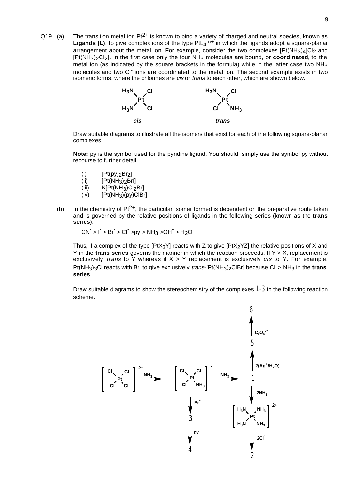Q19 (a) The transition metal ion  $Pt^{2+}$  is known to bind a variety of charged and neutral species, known as Ligands (L), to give complex ions of the type PtL<sub>4</sub>m<sup>+</sup> in which the ligands adopt a square-planar arrangement about the metal ion. For example, consider the two complexes  $[Pt(NH<sub>3</sub>)<sub>4</sub>]Cl<sub>2</sub>$  and [Pt(NH3)2Cl2]. In the first case only the four NH3 molecules are bound, or **coordinated**, to the metal ion (as indicated by the square brackets in the formula) while in the latter case two NH3 molecules and two CI<sup>-</sup> ions are coordinated to the metal ion. The second example exists in two isomeric forms, where the chlorines are *cis* or *trans* to each other, which are shown below.



Draw suitable diagrams to illustrate all the isomers that exist for each of the following square-planar complexes.

**Note:** py is the symbol used for the pyridine ligand. You should simply use the symbol py without recourse to further detail.

- (i)  $[Pt(pp)_2Br_2]$
- (ii)  $[Pt(NH<sub>3</sub>)<sub>2</sub>Brl]$
- (iii)  $K[Pt(NH_3)Cl_2Br]$ <br>(iv)  $[Pt(NH_3)(py)ClBr]$
- $[Pt(NH<sub>3</sub>)(py)CIBr]$
- (b) In the chemistry of  $Pt^{2+}$ , the particular isomer formed is dependent on the preparative route taken and is governed by the relative positions of ligands in the following series (known as the **trans series**):

 $CN^- > I^- > Br^- > Cl^- > py > NH_3 > OH^- > H_2O$ 

Thus, if a complex of the type [PtX<sub>3</sub>Y] reacts with Z to give [PtX<sub>2</sub>YZ] the relative positions of X and Y in the **trans series** governs the manner in which the reaction proceeds. If Y > X, replacement is exclusively *trans* to Y whereas if  $X > Y$  replacement is exclusively *cis* to Y. For example, Pt(NH<sub>3</sub>)<sub>3</sub>Cl reacts with Br<sup>-</sup> to give exclusively *trans*-[Pt(NH<sub>3</sub>)<sub>2</sub>ClBr] because Cl<sup>-</sup>> NH<sub>3</sub> in the trans **series**.

Draw suitable diagrams to show the stereochemistry of the complexes *1-3* in the following reaction scheme.